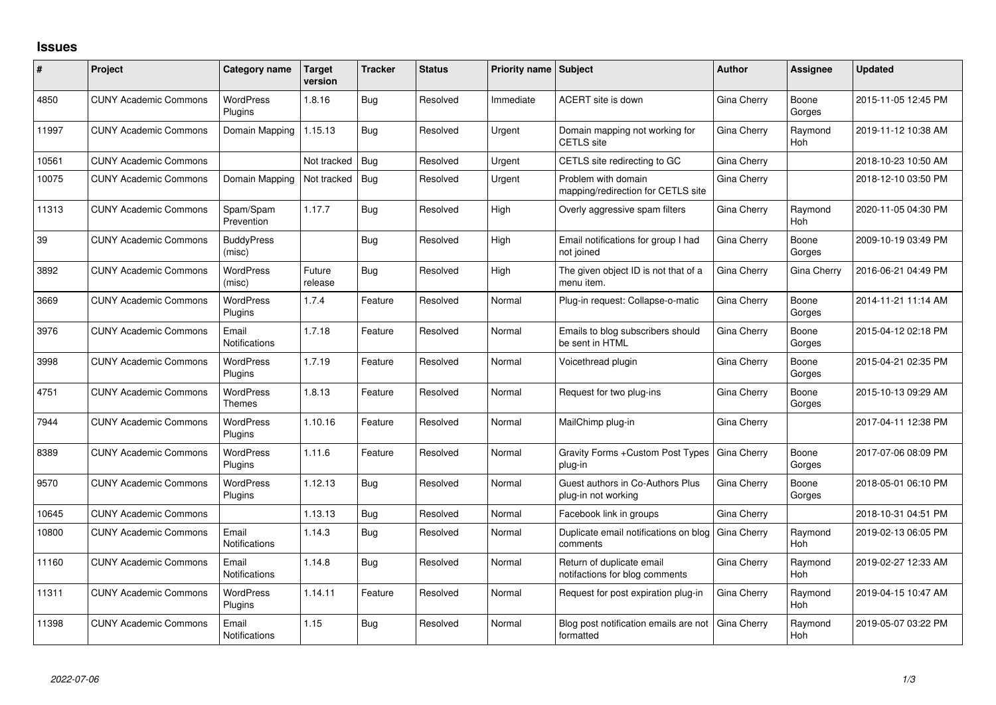## **Issues**

| #     | Project                      | <b>Category name</b>               | Target<br>version | <b>Tracker</b> | <b>Status</b> | <b>Priority name Subject</b> |                                                             | <b>Author</b> | Assignee              | <b>Updated</b>      |
|-------|------------------------------|------------------------------------|-------------------|----------------|---------------|------------------------------|-------------------------------------------------------------|---------------|-----------------------|---------------------|
| 4850  | <b>CUNY Academic Commons</b> | <b>WordPress</b><br><b>Plugins</b> | 1.8.16            | Bug            | Resolved      | Immediate                    | ACERT site is down                                          | Gina Cherry   | Boone<br>Gorges       | 2015-11-05 12:45 PM |
| 11997 | <b>CUNY Academic Commons</b> | Domain Mapping                     | 1.15.13           | Bug            | Resolved      | Urgent                       | Domain mapping not working for<br><b>CETLS</b> site         | Gina Cherry   | Raymond<br><b>Hoh</b> | 2019-11-12 10:38 AM |
| 10561 | <b>CUNY Academic Commons</b> |                                    | Not tracked       | Bug            | Resolved      | Urgent                       | CETLS site redirecting to GC                                | Gina Cherry   |                       | 2018-10-23 10:50 AM |
| 10075 | <b>CUNY Academic Commons</b> | Domain Mapping                     | Not tracked       | Bug            | Resolved      | Urgent                       | Problem with domain<br>mapping/redirection for CETLS site   | Gina Cherry   |                       | 2018-12-10 03:50 PM |
| 11313 | <b>CUNY Academic Commons</b> | Spam/Spam<br>Prevention            | 1.17.7            | Bug            | Resolved      | High                         | Overly aggressive spam filters                              | Gina Cherry   | Raymond<br><b>Hoh</b> | 2020-11-05 04:30 PM |
| 39    | <b>CUNY Academic Commons</b> | <b>BuddyPress</b><br>(misc)        |                   | Bug            | Resolved      | High                         | Email notifications for group I had<br>not joined           | Gina Cherry   | Boone<br>Gorges       | 2009-10-19 03:49 PM |
| 3892  | <b>CUNY Academic Commons</b> | <b>WordPress</b><br>(misc)         | Future<br>release | Bug            | Resolved      | High                         | The given object ID is not that of a<br>menu item.          | Gina Cherry   | Gina Cherry           | 2016-06-21 04:49 PM |
| 3669  | <b>CUNY Academic Commons</b> | <b>WordPress</b><br><b>Plugins</b> | 1.7.4             | Feature        | Resolved      | Normal                       | Plug-in request: Collapse-o-matic                           | Gina Cherry   | Boone<br>Gorges       | 2014-11-21 11:14 AM |
| 3976  | <b>CUNY Academic Commons</b> | Email<br><b>Notifications</b>      | 1.7.18            | Feature        | Resolved      | Normal                       | Emails to blog subscribers should<br>be sent in HTML        | Gina Cherry   | Boone<br>Gorges       | 2015-04-12 02:18 PM |
| 3998  | <b>CUNY Academic Commons</b> | <b>WordPress</b><br>Plugins        | 1.7.19            | Feature        | Resolved      | Normal                       | Voicethread plugin                                          | Gina Cherry   | Boone<br>Gorges       | 2015-04-21 02:35 PM |
| 4751  | <b>CUNY Academic Commons</b> | <b>WordPress</b><br>Themes         | 1.8.13            | Feature        | Resolved      | Normal                       | Request for two plug-ins                                    | Gina Cherry   | Boone<br>Gorges       | 2015-10-13 09:29 AM |
| 7944  | <b>CUNY Academic Commons</b> | <b>WordPress</b><br>Plugins        | 1.10.16           | Feature        | Resolved      | Normal                       | MailChimp plug-in                                           | Gina Cherry   |                       | 2017-04-11 12:38 PM |
| 8389  | <b>CUNY Academic Commons</b> | <b>WordPress</b><br>Plugins        | 1.11.6            | Feature        | Resolved      | Normal                       | Gravity Forms + Custom Post Types<br>plug-in                | Gina Cherry   | Boone<br>Gorges       | 2017-07-06 08:09 PM |
| 9570  | <b>CUNY Academic Commons</b> | <b>WordPress</b><br>Plugins        | 1.12.13           | Bug            | Resolved      | Normal                       | Guest authors in Co-Authors Plus<br>plug-in not working     | Gina Cherry   | Boone<br>Gorges       | 2018-05-01 06:10 PM |
| 10645 | <b>CUNY Academic Commons</b> |                                    | 1.13.13           | Bug            | Resolved      | Normal                       | Facebook link in groups                                     | Gina Cherry   |                       | 2018-10-31 04:51 PM |
| 10800 | <b>CUNY Academic Commons</b> | Email<br><b>Notifications</b>      | 1.14.3            | Bug            | Resolved      | Normal                       | Duplicate email notifications on blog<br>comments           | Gina Cherry   | Raymond<br><b>Hoh</b> | 2019-02-13 06:05 PM |
| 11160 | <b>CUNY Academic Commons</b> | Email<br>Notifications             | 1.14.8            | Bug            | Resolved      | Normal                       | Return of duplicate email<br>notifactions for blog comments | Gina Cherry   | Raymond<br>Hoh        | 2019-02-27 12:33 AM |
| 11311 | <b>CUNY Academic Commons</b> | <b>WordPress</b><br>Plugins        | 1.14.11           | Feature        | Resolved      | Normal                       | Request for post expiration plug-in                         | Gina Cherry   | Raymond<br>Hoh        | 2019-04-15 10:47 AM |
| 11398 | <b>CUNY Academic Commons</b> | Email<br>Notifications             | 1.15              | Bug            | Resolved      | Normal                       | Blog post notification emails are not<br>formatted          | Gina Cherry   | Raymond<br>Hoh        | 2019-05-07 03:22 PM |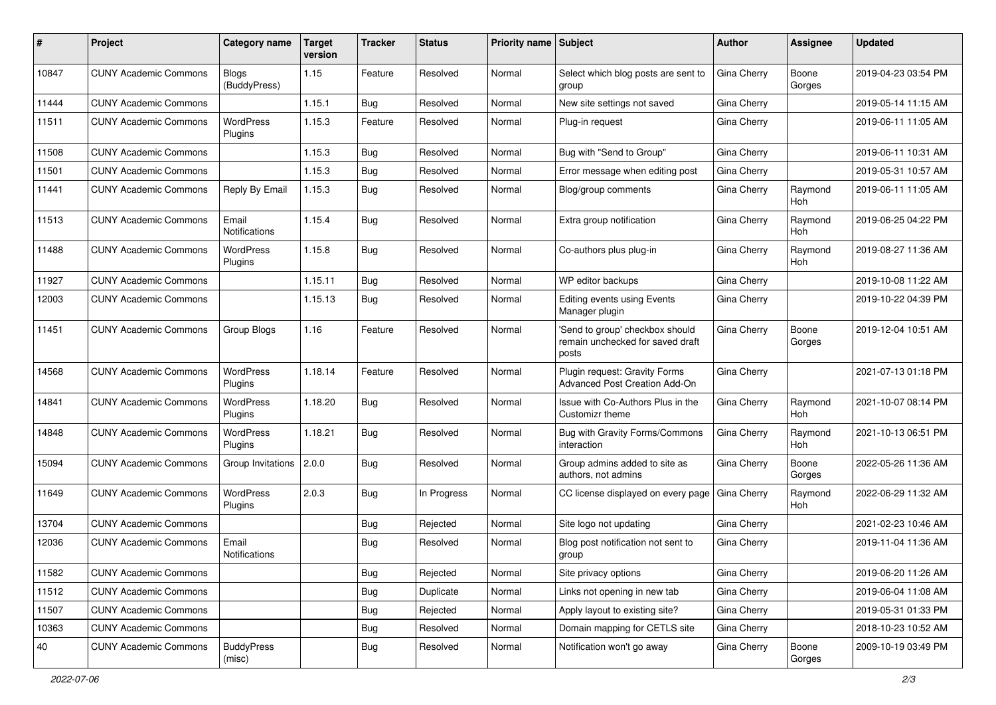| #     | Project                      | <b>Category name</b>          | <b>Target</b><br>version | <b>Tracker</b> | <b>Status</b> | <b>Priority name Subject</b> |                                                                              | <b>Author</b>      | Assignee              | <b>Updated</b>      |
|-------|------------------------------|-------------------------------|--------------------------|----------------|---------------|------------------------------|------------------------------------------------------------------------------|--------------------|-----------------------|---------------------|
| 10847 | <b>CUNY Academic Commons</b> | <b>Blogs</b><br>(BuddyPress)  | 1.15                     | Feature        | Resolved      | Normal                       | Select which blog posts are sent to<br>group                                 | Gina Cherry        | Boone<br>Gorges       | 2019-04-23 03:54 PM |
| 11444 | <b>CUNY Academic Commons</b> |                               | 1.15.1                   | Bug            | Resolved      | Normal                       | New site settings not saved                                                  | Gina Cherry        |                       | 2019-05-14 11:15 AM |
| 11511 | <b>CUNY Academic Commons</b> | <b>WordPress</b><br>Plugins   | 1.15.3                   | Feature        | Resolved      | Normal                       | Plug-in request                                                              | Gina Cherry        |                       | 2019-06-11 11:05 AM |
| 11508 | <b>CUNY Academic Commons</b> |                               | 1.15.3                   | Bug            | Resolved      | Normal                       | Bug with "Send to Group"                                                     | Gina Cherry        |                       | 2019-06-11 10:31 AM |
| 11501 | <b>CUNY Academic Commons</b> |                               | 1.15.3                   | Bug            | Resolved      | Normal                       | Error message when editing post                                              | Gina Cherry        |                       | 2019-05-31 10:57 AM |
| 11441 | <b>CUNY Academic Commons</b> | Reply By Email                | 1.15.3                   | Bug            | Resolved      | Normal                       | Blog/group comments                                                          | Gina Cherry        | Raymond<br>Hoh        | 2019-06-11 11:05 AM |
| 11513 | <b>CUNY Academic Commons</b> | Email<br><b>Notifications</b> | 1.15.4                   | Bug            | Resolved      | Normal                       | Extra group notification                                                     | Gina Cherry        | Raymond<br>Hoh        | 2019-06-25 04:22 PM |
| 11488 | <b>CUNY Academic Commons</b> | <b>WordPress</b><br>Plugins   | 1.15.8                   | Bug            | Resolved      | Normal                       | Co-authors plus plug-in                                                      | Gina Cherry        | Raymond<br>Hoh        | 2019-08-27 11:36 AM |
| 11927 | <b>CUNY Academic Commons</b> |                               | 1.15.11                  | Bug            | Resolved      | Normal                       | WP editor backups                                                            | Gina Cherry        |                       | 2019-10-08 11:22 AM |
| 12003 | <b>CUNY Academic Commons</b> |                               | 1.15.13                  | Bug            | Resolved      | Normal                       | Editing events using Events<br>Manager plugin                                | Gina Cherry        |                       | 2019-10-22 04:39 PM |
| 11451 | <b>CUNY Academic Commons</b> | Group Blogs                   | 1.16                     | Feature        | Resolved      | Normal                       | 'Send to group' checkbox should<br>remain unchecked for saved draft<br>posts | Gina Cherry        | Boone<br>Gorges       | 2019-12-04 10:51 AM |
| 14568 | <b>CUNY Academic Commons</b> | <b>WordPress</b><br>Plugins   | 1.18.14                  | Feature        | Resolved      | Normal                       | Plugin request: Gravity Forms<br>Advanced Post Creation Add-On               | Gina Cherry        |                       | 2021-07-13 01:18 PM |
| 14841 | <b>CUNY Academic Commons</b> | <b>WordPress</b><br>Plugins   | 1.18.20                  | Bug            | Resolved      | Normal                       | Issue with Co-Authors Plus in the<br>Customizr theme                         | Gina Cherry        | Raymond<br><b>Hoh</b> | 2021-10-07 08:14 PM |
| 14848 | <b>CUNY Academic Commons</b> | <b>WordPress</b><br>Plugins   | 1.18.21                  | Bug            | Resolved      | Normal                       | Bug with Gravity Forms/Commons<br>interaction                                | Gina Cherry        | Raymond<br>Hoh        | 2021-10-13 06:51 PM |
| 15094 | <b>CUNY Academic Commons</b> | Group Invitations 2.0.0       |                          | Bug            | Resolved      | Normal                       | Group admins added to site as<br>authors, not admins                         | Gina Cherry        | Boone<br>Gorges       | 2022-05-26 11:36 AM |
| 11649 | <b>CUNY Academic Commons</b> | WordPress<br>Plugins          | 2.0.3                    | Bug            | In Progress   | Normal                       | CC license displayed on every page                                           | <b>Gina Cherry</b> | Raymond<br>Hoh        | 2022-06-29 11:32 AM |
| 13704 | <b>CUNY Academic Commons</b> |                               |                          | Bug            | Rejected      | Normal                       | Site logo not updating                                                       | Gina Cherry        |                       | 2021-02-23 10:46 AM |
| 12036 | <b>CUNY Academic Commons</b> | Email<br>Notifications        |                          | Bug            | Resolved      | Normal                       | Blog post notification not sent to<br>group                                  | Gina Cherry        |                       | 2019-11-04 11:36 AM |
| 11582 | <b>CUNY Academic Commons</b> |                               |                          | <b>Bug</b>     | Rejected      | Normal                       | Site privacy options                                                         | Gina Cherry        |                       | 2019-06-20 11:26 AM |
| 11512 | <b>CUNY Academic Commons</b> |                               |                          | Bug            | Duplicate     | Normal                       | Links not opening in new tab                                                 | Gina Cherry        |                       | 2019-06-04 11:08 AM |
| 11507 | <b>CUNY Academic Commons</b> |                               |                          | Bug            | Rejected      | Normal                       | Apply layout to existing site?                                               | Gina Cherry        |                       | 2019-05-31 01:33 PM |
| 10363 | <b>CUNY Academic Commons</b> |                               |                          | <b>Bug</b>     | Resolved      | Normal                       | Domain mapping for CETLS site                                                | Gina Cherry        |                       | 2018-10-23 10:52 AM |
| 40    | <b>CUNY Academic Commons</b> | <b>BuddyPress</b><br>(misc)   |                          | Bug            | Resolved      | Normal                       | Notification won't go away                                                   | Gina Cherry        | Boone<br>Gorges       | 2009-10-19 03:49 PM |